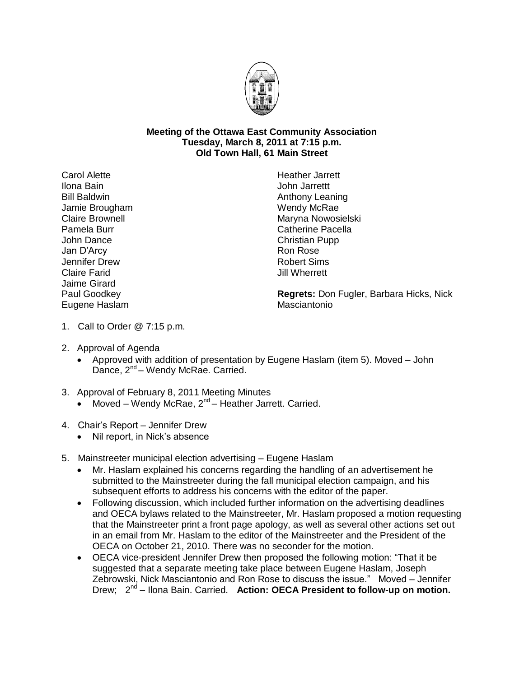

## **Meeting of the Ottawa East Community Association Tuesday, March 8, 2011 at 7:15 p.m. Old Town Hall, 61 Main Street**

Carol Alette Ilona Bain Bill Baldwin Jamie Brougham Claire Brownell Pamela Burr John Dance Jan D'Arcy Jennifer Drew Claire Farid Jaime Girard Paul Goodkey Eugene Haslam

Heather Jarrett John Jarrettt Anthony Leaning Wendy McRae Maryna Nowosielski Catherine Pacella Christian Pupp Ron Rose Robert Sims Jill Wherrett

**Regrets:** Don Fugler, Barbara Hicks, Nick **Masciantonio** 

- 1. Call to Order @ 7:15 p.m.
- 2. Approval of Agenda
	- Approved with addition of presentation by Eugene Haslam (item 5). Moved John Dance, 2<sup>nd</sup> – Wendy McRae. Carried.
- 3. Approval of February 8, 2011 Meeting Minutes
	- Moved Wendy McRae,  $2^{nd}$  Heather Jarrett. Carried.
- 4. Chair's Report Jennifer Drew
	- Nil report, in Nick's absence
- 5. Mainstreeter municipal election advertising Eugene Haslam
	- Mr. Haslam explained his concerns regarding the handling of an advertisement he submitted to the Mainstreeter during the fall municipal election campaign, and his subsequent efforts to address his concerns with the editor of the paper.
	- Following discussion, which included further information on the advertising deadlines and OECA bylaws related to the Mainstreeter, Mr. Haslam proposed a motion requesting that the Mainstreeter print a front page apology, as well as several other actions set out in an email from Mr. Haslam to the editor of the Mainstreeter and the President of the OECA on October 21, 2010. There was no seconder for the motion.
	- OECA vice-president Jennifer Drew then proposed the following motion: "That it be suggested that a separate meeting take place between Eugene Haslam, Joseph Zebrowski, Nick Masciantonio and Ron Rose to discuss the issue." Moved – Jennifer Drew; 2<sup>nd</sup> – Ilona Bain. Carried. Action: OECA President to follow-up on motion.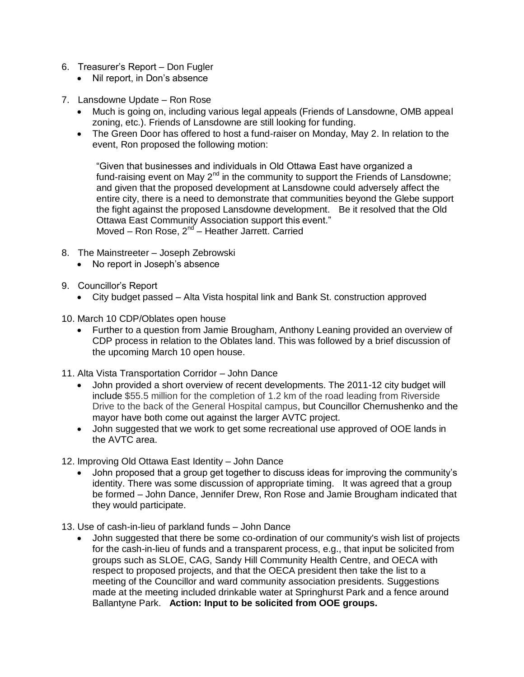- 6. Treasurer's Report Don Fugler
	- Nil report, in Don's absence
- 7. Lansdowne Update Ron Rose
	- Much is going on, including various legal appeals (Friends of Lansdowne, OMB appeal zoning, etc.). Friends of Lansdowne are still looking for funding.
	- The Green Door has offered to host a fund-raiser on Monday, May 2. In relation to the event, Ron proposed the following motion:

"Given that businesses and individuals in Old Ottawa East have organized a fund-raising event on May  $2^{nd}$  in the community to support the Friends of Lansdowne; and given that the proposed development at Lansdowne could adversely affect the entire city, there is a need to demonstrate that communities beyond the Glebe support the fight against the proposed Lansdowne development. Be it resolved that the Old Ottawa East Community Association support this event." Moved – Ron Rose, 2<sup>nd</sup> – Heather Jarrett. Carried

- 8. The Mainstreeter Joseph Zebrowski
	- No report in Joseph's absence
- 9. Councillor's Report
	- City budget passed Alta Vista hospital link and Bank St. construction approved
- 10. March 10 CDP/Oblates open house
	- Further to a question from Jamie Brougham, Anthony Leaning provided an overview of CDP process in relation to the Oblates land. This was followed by a brief discussion of the upcoming March 10 open house.
- 11. Alta Vista Transportation Corridor John Dance
	- John provided a short overview of recent developments. The 2011-12 city budget will include \$55.5 million for the completion of 1.2 km of the road leading from Riverside Drive to the back of the General Hospital campus, but Councillor Chernushenko and the mayor have both come out against the larger AVTC project.
	- John suggested that we work to get some recreational use approved of OOE lands in the AVTC area.

12. Improving Old Ottawa East Identity – John Dance

- John proposed that a group get together to discuss ideas for improving the community's identity. There was some discussion of appropriate timing. It was agreed that a group be formed – John Dance, Jennifer Drew, Ron Rose and Jamie Brougham indicated that they would participate.
- 13. Use of cash-in-lieu of parkland funds John Dance
	- John suggested that there be some co-ordination of our community's wish list of projects for the cash-in-lieu of funds and a transparent process, e.g., that input be solicited from groups such as SLOE, CAG, Sandy Hill Community Health Centre, and OECA with respect to proposed projects, and that the OECA president then take the list to a meeting of the Councillor and ward community association presidents. Suggestions made at the meeting included drinkable water at Springhurst Park and a fence around Ballantyne Park. **Action: Input to be solicited from OOE groups.**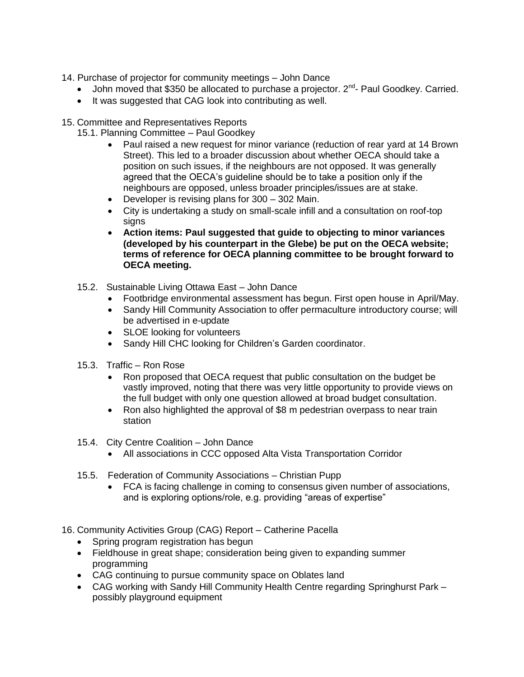- 14. Purchase of projector for community meetings John Dance
	- $\bullet$  John moved that \$350 be allocated to purchase a projector.  $2^{nd}$  Paul Goodkey. Carried.
	- It was suggested that CAG look into contributing as well.
- 15. Committee and Representatives Reports
	- 15.1. Planning Committee Paul Goodkey
		- Paul raised a new request for minor variance (reduction of rear yard at 14 Brown Street). This led to a broader discussion about whether OECA should take a position on such issues, if the neighbours are not opposed. It was generally agreed that the OECA's guideline should be to take a position only if the neighbours are opposed, unless broader principles/issues are at stake.
		- Developer is revising plans for 300 302 Main.
		- City is undertaking a study on small-scale infill and a consultation on roof-top signs
		- **Action items: Paul suggested that guide to objecting to minor variances (developed by his counterpart in the Glebe) be put on the OECA website; terms of reference for OECA planning committee to be brought forward to OECA meeting.**
	- 15.2. Sustainable Living Ottawa East John Dance
		- Footbridge environmental assessment has begun. First open house in April/May.
		- Sandy Hill Community Association to offer permaculture introductory course; will be advertised in e-update
		- SLOE looking for volunteers
		- Sandy Hill CHC looking for Children's Garden coordinator.
	- 15.3. Traffic Ron Rose
		- Ron proposed that OECA request that public consultation on the budget be vastly improved, noting that there was very little opportunity to provide views on the full budget with only one question allowed at broad budget consultation.
		- Ron also highlighted the approval of \$8 m pedestrian overpass to near train station
	- 15.4. City Centre Coalition John Dance
		- All associations in CCC opposed Alta Vista Transportation Corridor
	- 15.5. Federation of Community Associations Christian Pupp
		- FCA is facing challenge in coming to consensus given number of associations, and is exploring options/role, e.g. providing "areas of expertise"

16. Community Activities Group (CAG) Report – Catherine Pacella

- Spring program registration has begun
- Fieldhouse in great shape; consideration being given to expanding summer programming
- CAG continuing to pursue community space on Oblates land
- CAG working with Sandy Hill Community Health Centre regarding Springhurst Park possibly playground equipment